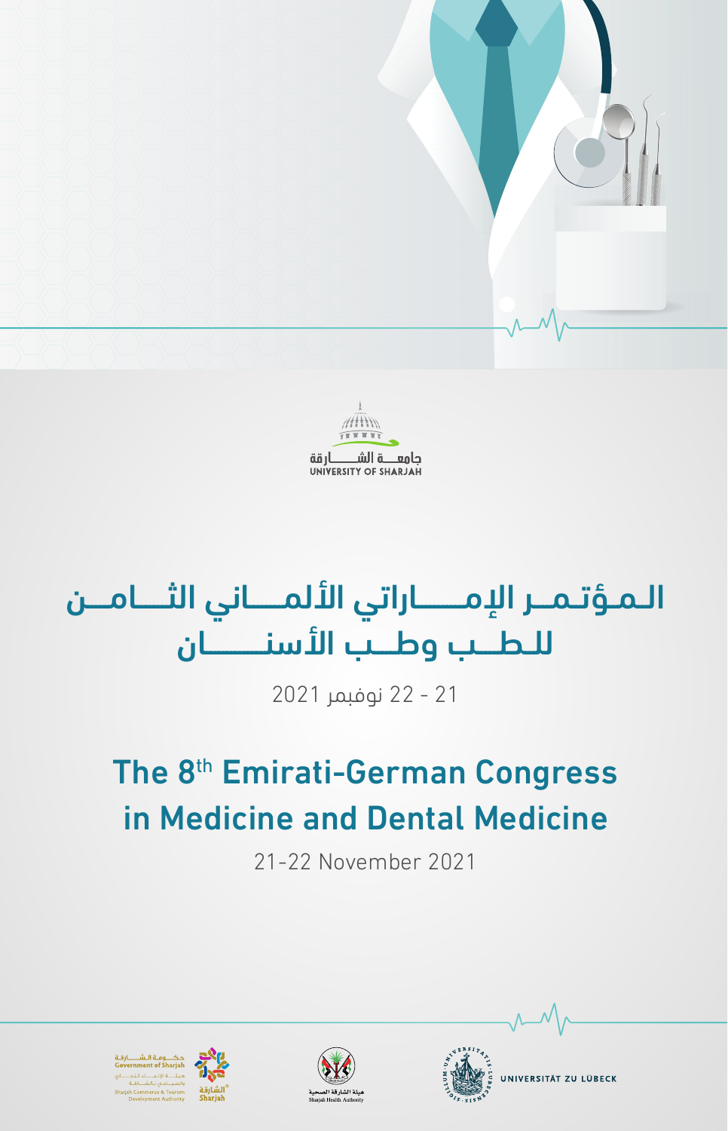



# الـمـؤتـمــر الإمــــــاراتي الألمـــــاني الثــــامـــن للـطــب وطــب الأسنــــــان

21 - 22 نوفبمر 2021

# The 8<sup>th</sup> Emirati-German Congress in Medicine and Dental Medicine

21-22 November 2021









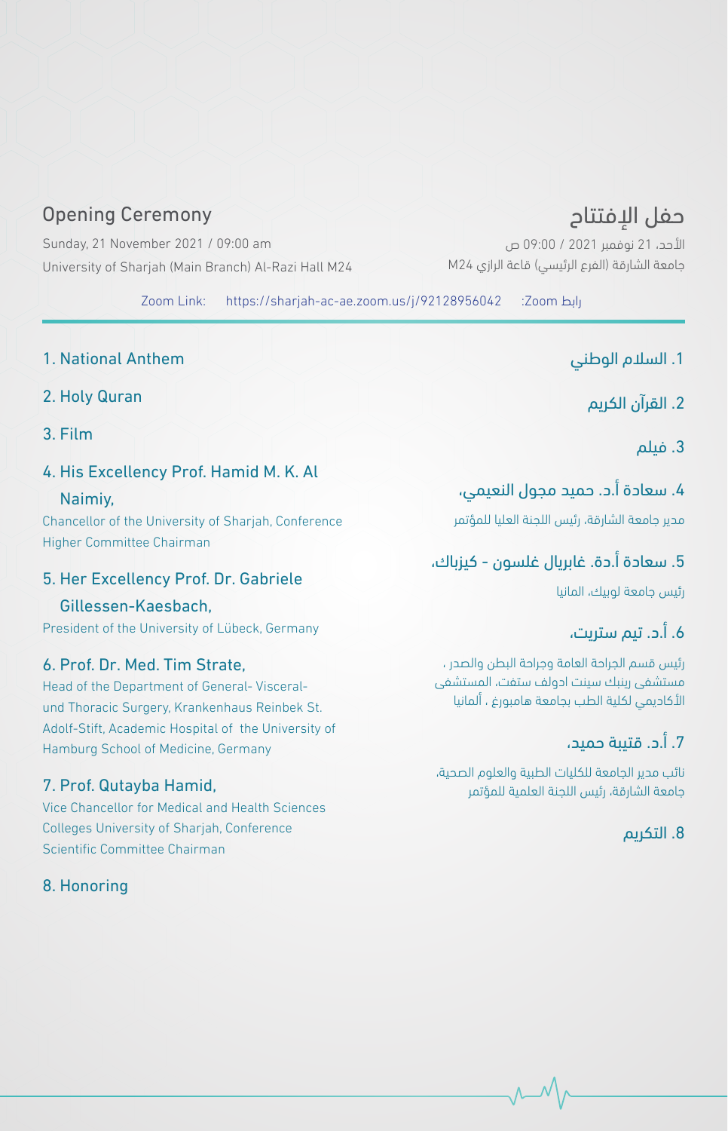# **Opening Ceremony**

Sunday, 21 November 2021 / 09:00 am University of Sharjah (Main Branch) Al-Razi Hall M24

> رابط Zoom: Zoom Link: https://sharjah-ac-ae.zoom.us/j/92128956042

- 1. National Anthem
- 2. Holy Quran
- 3. Film

#### 4. His Excellency Prof. Hamid M. K. Al

 ,Naimiy Chancellor of the University of Sharjah, Conference Higher Committee Chairman

#### 5. Her Excellency Prof. Dr. Gabriele

#### Gillessen-Kaesbach.

President of the University of Lübeck, Germany

#### 6. Prof. Dr. Med. Tim Strate.

und Thoracic Surgery, Krankenhaus Reinbek St. Head of the Department of General-Visceral-Adolf-Stift, Academic Hospital of the University of Hamburg School of Medicine, Germany

#### 7. Prof. Qutayba Hamid,

Vice Chancellor for Medical and Health Sciences Colleges University of Shariah, Conference Scientific Committee Chairman

#### 8. Honoring

حفل الإفتتاح األحد، 21 نوفمبر 2021 / 09:00 ص

جامعة الشارقة )الفرع الرئيسي( قاعة الرازي 24M

# .1 السالم الوطني

.2 القرآن الكريم

.3 فيلم

## .4 سعادة أ.د. حميد مجول النعيمي،

مدير جامعة الشارقة، رئيس اللجنة العليا للمؤتمر

## .5 سعادة أ.دة. غابريال غلسون - كيزباك،

رئيس جامعة لوبيك، المانيا

# .6 أ.د. تيم ستريت،

رئيس قسم الجراحة العامة وجراحة البطن والصدر ، مستشفى رينبك سينت ادولف ستفت، المستشفى األكاديمي لكلية الطب بجامعة هامبورغ ، ألمانيا

# .7 أ.د. قتيبة حميد،

نائب مدير الجامعة للكليات الطبية والعلوم الصحية، جامعة الشارقة، رئيس اللجنة العلمية للمؤتمر

### .8 التكريم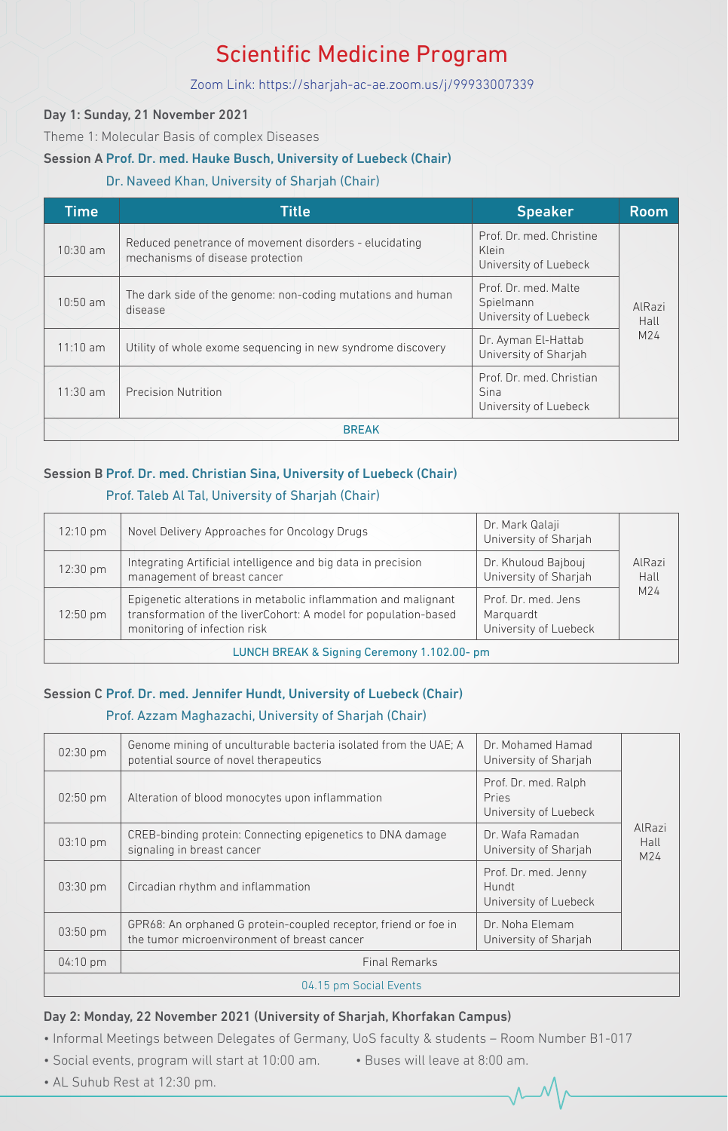# **Scientific Medicine Program**

#### Zoom Link: https://sharjah-ac-ae.zoom.us/j/99933007339

#### Day 1: Sunday, 21 November 2021

Theme 1: Molecular Basis of complex Diseases

#### Session A Prof. Dr. med. Hauke Busch, University of Luebeck (Chair)

#### Dr. Naveed Khan, University of Sharjah (Chair)

| <b>Time</b>  | <b>Title</b>                                                                               | <b>Speaker</b>                                             | <b>Room</b>    |  |
|--------------|--------------------------------------------------------------------------------------------|------------------------------------------------------------|----------------|--|
| $10:30$ am   | Reduced penetrance of movement disorders - elucidating<br>mechanisms of disease protection | Prof. Dr. med. Christine<br>Klein<br>University of Luebeck |                |  |
| 10:50 am     | The dark side of the genome: non-coding mutations and human<br>disease                     | Prof. Dr. med. Malte<br>Spielmann<br>University of Luebeck | AlRazi<br>Hall |  |
| 11:10 am     | Utility of whole exome sequencing in new syndrome discovery                                | Dr. Ayman El-Hattab<br>University of Sharjah               | M24            |  |
| $11:30$ am   | Precision Nutrition                                                                        | Prof. Dr. med. Christian<br>Sina<br>University of Luebeck  |                |  |
| <b>BREAK</b> |                                                                                            |                                                            |                |  |

#### Session B Prof. Dr. med. Christian Sina, University of Luebeck (Chair)

#### Prof. Taleb Al Tal, University of Sharjah (Chair)

| 12:10 pm                                   | Novel Delivery Approaches for Oncology Drugs                                                                                                                      | Dr. Mark Qalaji<br>University of Sharjah                  |                |  |
|--------------------------------------------|-------------------------------------------------------------------------------------------------------------------------------------------------------------------|-----------------------------------------------------------|----------------|--|
| 12:30 pm                                   | Integrating Artificial intelligence and big data in precision<br>management of breast cancer                                                                      | Dr. Khuloud Bajbouj<br>University of Sharjah              | AlRazi<br>Hall |  |
| 12:50 pm                                   | Epigenetic alterations in metabolic inflammation and malignant<br>transformation of the liverCohort: A model for population-based<br>monitoring of infection risk | Prof. Dr. med. Jens<br>Marquardt<br>University of Luebeck | M24            |  |
| LUNCH BREAK & Signing Ceremony 1.102.00-pm |                                                                                                                                                                   |                                                           |                |  |

#### Session C Prof. Dr. med. Jennifer Hundt, University of Luebeck (Chair)

#### Prof. Azzam Maghazachi, University of Sharjah (Chair)

| 02:30 pm   | Genome mining of unculturable bacteria isolated from the UAE; A<br>potential source of novel therapeutics      | Dr. Mohamed Hamad<br>University of Sharjah             |                       |  |  |
|------------|----------------------------------------------------------------------------------------------------------------|--------------------------------------------------------|-----------------------|--|--|
| $02:50$ pm | Alteration of blood monocytes upon inflammation                                                                | Prof. Dr. med. Ralph<br>Pries<br>University of Luebeck |                       |  |  |
| 03:10 pm   | CREB-binding protein: Connecting epigenetics to DNA damage<br>signaling in breast cancer                       | Dr. Wafa Ramadan<br>University of Sharjah              | AlRazi<br>Hall<br>M24 |  |  |
| 03:30 pm   | Circadian rhythm and inflammation                                                                              | Prof. Dr. med. Jenny<br>Hundt<br>University of Luebeck |                       |  |  |
| 03:50 pm   | GPR68: An orphaned G protein-coupled receptor, friend or foe in<br>the tumor microenvironment of breast cancer | Dr. Noha Elemam<br>University of Sharjah               |                       |  |  |
| 04:10 pm   | <b>Final Remarks</b>                                                                                           |                                                        |                       |  |  |
|            | 04.15 pm Social Events                                                                                         |                                                        |                       |  |  |

#### Day 2: Monday, 22 November 2021 (University of Sharjah, Khorfakan Campus)

• Informal Meetings between Delegates of Germany, UoS faculty & students - Room Number B1-017

- Social events, program will start at 10:00 am. Buses will leave at 8:00 am.
	-

• AL Suhub Rest at 12:30 pm.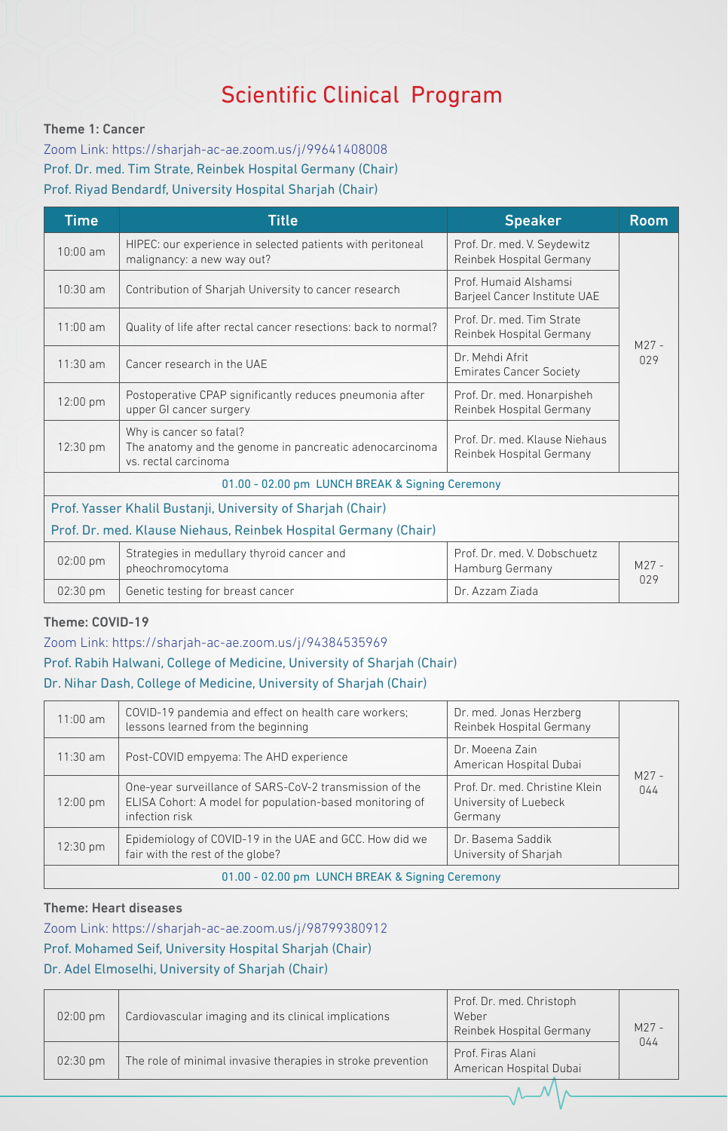# **Scientific Clinical Program**

#### Theme 1: Cancer

Zoom Link: https://sharjah-ac-ae.zoom.us/j/99641408008 Prof. Dr. med. Tim Strate, Reinbek Hospital Germany (Chair) Prof. Riyad Bendardf, University Hospital Sharjah (Chair)

| <b>Time</b>                                                     | <b>Title</b><br><b>Speaker</b>                                                                             |                                                           | <b>Room</b>    |  |
|-----------------------------------------------------------------|------------------------------------------------------------------------------------------------------------|-----------------------------------------------------------|----------------|--|
| $10:00$ am                                                      | HIPEC: our experience in selected patients with peritoneal<br>malignancy: a new way out?                   | Prof. Dr. med. V. Seydewitz<br>Reinbek Hospital Germany   |                |  |
| $10:30$ am                                                      | Contribution of Sharjah University to cancer research                                                      | Prof Humaid Alshamsi<br>Barjeel Cancer Institute UAE      |                |  |
| $11:00$ am                                                      | Quality of life after rectal cancer resections: back to normal?                                            | Prof. Dr. med. Tim Strate<br>Reinbek Hospital Germany     | $M27 -$        |  |
| $11:30$ am                                                      | Cancer research in the UAE                                                                                 | Dr. Mehdi Afrit<br><b>Emirates Cancer Society</b>         | 029            |  |
| 12:00 pm                                                        | Postoperative CPAP significantly reduces pneumonia after<br>upper GI cancer surgery                        | Prof. Dr. med. Honarpisheh<br>Reinbek Hospital Germany    |                |  |
| 12:30 pm                                                        | Why is cancer so fatal?<br>The anatomy and the genome in pancreatic adenocarcinoma<br>vs. rectal carcinoma | Prof. Dr. med. Klause Niehaus<br>Reinbek Hospital Germany |                |  |
|                                                                 | 01.00 - 02.00 pm LUNCH BREAK & Signing Ceremony                                                            |                                                           |                |  |
| Prof. Yasser Khalil Bustanji, University of Sharjah (Chair)     |                                                                                                            |                                                           |                |  |
| Prof. Dr. med. Klause Niehaus, Reinbek Hospital Germany (Chair) |                                                                                                            |                                                           |                |  |
| 02:00 pm                                                        | Strategies in medullary thyroid cancer and<br>pheochromocytoma                                             | Prof. Dr. med. V. Dobschuetz<br>Hamburg Germany           | $M27 -$<br>029 |  |
| $02:30$ pm                                                      | Genetic testing for breast cancer                                                                          | Dr. Azzam Ziada                                           |                |  |

#### Theme: COVID-19

#### Zoom Link: https://sharjah-ac-ae.zoom.us/j/94384535969

#### Prof. Rabih Halwani, College of Medicine, University of Sharjah (Chair) Dr. Nihar Dash, College of Medicine, University of Sharjah (Chair)

| $11:00$ am                                      | COVID-19 pandemia and effect on health care workers;<br>lessons learned from the beginning                                                                                                                  | Dr. med. Jonas Herzberg<br>Reinbek Hospital Germany |                |  |
|-------------------------------------------------|-------------------------------------------------------------------------------------------------------------------------------------------------------------------------------------------------------------|-----------------------------------------------------|----------------|--|
| $11:30$ am                                      | Post-COVID empyema: The AHD experience                                                                                                                                                                      | Dr. Moeena Zain<br>American Hospital Dubai          |                |  |
| $12:00 \text{ pm}$                              | One-year surveillance of SARS-CoV-2 transmission of the<br>Prof. Dr. med. Christine Klein<br>ELISA Cohort: A model for population-based monitoring of<br>University of Luebeck<br>infection risk<br>Germany |                                                     | $M27 -$<br>044 |  |
| 12:30 pm                                        | Epidemiology of COVID-19 in the UAE and GCC. How did we<br>Dr. Basema Saddik<br>fair with the rest of the globe?<br>University of Sharjah                                                                   |                                                     |                |  |
| 01.00 - 02.00 pm LUNCH BREAK & Signing Ceremony |                                                                                                                                                                                                             |                                                     |                |  |

#### Theme: Heart diseases

Zoom Link: https://sharjah-ac-ae.zoom.us/j/98799380912 Prof. Mohamed Seif, University Hospital Sharjah (Chair) Dr. Adel Elmoselhi, University of Sharjah (Chair)

| $02:00$ pm | Cardiovascular imaging and its clinical implications        | Prof. Dr. med. Christoph<br>Weber<br>Reinbek Hospital Germany | $M27 -$ |
|------------|-------------------------------------------------------------|---------------------------------------------------------------|---------|
| $02:30$ pm | The role of minimal invasive therapies in stroke prevention | Prof. Firas Alani<br>American Hospital Dubai                  | 044     |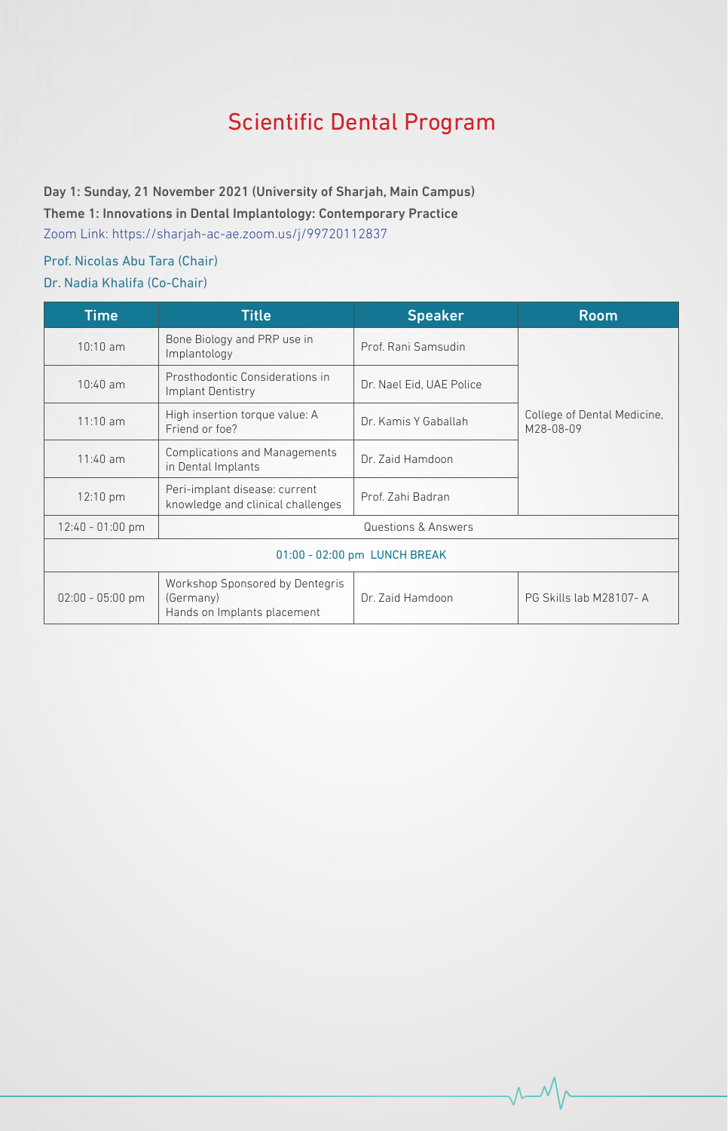# **Scientific Dental Program**

Day 1: Sunday, 21 November 2021 (University of Sharjah, Main Campus) Theme 1: Innovations in Dental Implantology: Contemporary Practice Zoom Link: https://sharjah-ac-ae.zoom.us/j/99720112837

### Prof. Nicolas Abu Tara (Chair) Dr. Nadia Khalifa (Co-Chair)

| <b>Time</b>                  | <b>Title</b>                                                                | <b>Speaker</b>           | <b>Room</b>                              |  |
|------------------------------|-----------------------------------------------------------------------------|--------------------------|------------------------------------------|--|
| 10:10 am                     | Bone Biology and PRP use in<br>Implantology                                 | Prof. Rani Samsudin      |                                          |  |
| $10:40$ am                   | Prosthodontic Considerations in<br>Implant Dentistry                        | Dr. Nael Eid, UAE Police |                                          |  |
| 11:10 am                     | High insertion torque value: A<br>Friend or foe?                            | Dr. Kamis Y Gaballah     | College of Dental Medicine,<br>M28-08-09 |  |
| $11:40$ am                   | <b>Complications and Managements</b><br>in Dental Implants                  | Dr. Zaid Hamdoon         |                                          |  |
| 12:10 pm                     | Peri-implant disease: current<br>knowledge and clinical challenges          | Prof. Zahi Badran        |                                          |  |
| $12:40 - 01:00$ pm           |                                                                             | Questions & Answers      |                                          |  |
| 01:00 - 02:00 pm LUNCH BREAK |                                                                             |                          |                                          |  |
| $02:00 - 05:00$ pm           | Workshop Sponsored by Dentegris<br>(Germany)<br>Hands on Implants placement | Dr. Zaid Hamdoon         | PG Skills lab M28107-A                   |  |

 $\sim$